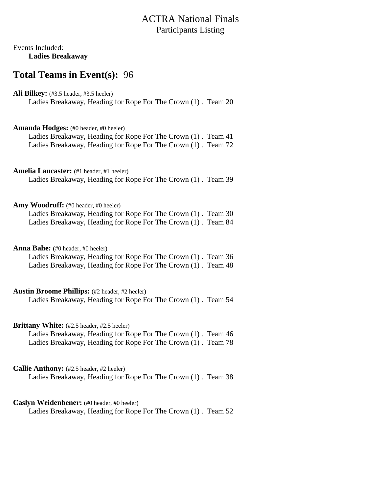## ACTRA National Finals Participants Listing

## Events Included: **Ladies Breakaway**

## **Total Teams in Event(s):** 96

Ali Bilkey: (#3.5 header, #3.5 heeler) Ladies Breakaway, Heading for Rope For The Crown (1) . Team 20

**Amanda Hodges:** (#0 header, #0 heeler) Ladies Breakaway, Heading for Rope For The Crown (1) . Team 41 Ladies Breakaway, Heading for Rope For The Crown (1) . Team 72

Amelia Lancaster: (#1 header, #1 heeler) Ladies Breakaway, Heading for Rope For The Crown (1) . Team 39

Amy Woodruff: (#0 header, #0 heeler)

Ladies Breakaway, Heading for Rope For The Crown (1) . Team 30 Ladies Breakaway, Heading for Rope For The Crown (1) . Team 84

**Anna Bahe:** (#0 header, #0 heeler)

Ladies Breakaway, Heading for Rope For The Crown (1) . Team 36 Ladies Breakaway, Heading for Rope For The Crown (1) . Team 48

**Austin Broome Phillips:** (#2 header, #2 heeler)

Ladies Breakaway, Heading for Rope For The Crown (1) . Team 54

Brittany White: (#2.5 header, #2.5 heeler)

Ladies Breakaway, Heading for Rope For The Crown (1) . Team 46 Ladies Breakaway, Heading for Rope For The Crown (1) . Team 78

**Callie Anthony:** (#2.5 header, #2 heeler)

Ladies Breakaway, Heading for Rope For The Crown (1) . Team 38

## **Caslyn Weidenbener:** (#0 header, #0 heeler)

Ladies Breakaway, Heading for Rope For The Crown (1) . Team 52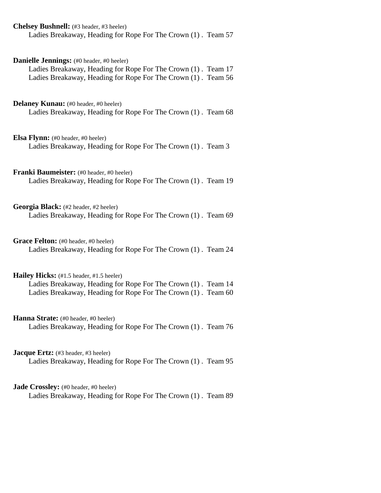| Chelsey Bushnell: (#3 header, #3 heeler)<br>Ladies Breakaway, Heading for Rope For The Crown (1). Team 57                                                                   |
|-----------------------------------------------------------------------------------------------------------------------------------------------------------------------------|
| Danielle Jennings: (#0 header, #0 heeler)<br>Ladies Breakaway, Heading for Rope For The Crown (1). Team 17<br>Ladies Breakaway, Heading for Rope For The Crown (1). Team 56 |
| <b>Delaney Kunau:</b> (#0 header, #0 heeler)<br>Ladies Breakaway, Heading for Rope For The Crown (1). Team 68                                                               |
| <b>Elsa Flynn:</b> (#0 header, #0 heeler)<br>Ladies Breakaway, Heading for Rope For The Crown (1). Team 3                                                                   |
| Franki Baumeister: (#0 header, #0 heeler)<br>Ladies Breakaway, Heading for Rope For The Crown (1). Team 19                                                                  |
| Georgia Black: (#2 header, #2 heeler)<br>Ladies Breakaway, Heading for Rope For The Crown (1). Team 69                                                                      |
| Grace Felton: (#0 header, #0 heeler)<br>Ladies Breakaway, Heading for Rope For The Crown (1). Team 24                                                                       |
| Hailey Hicks: (#1.5 header, #1.5 heeler)<br>Ladies Breakaway, Heading for Rope For The Crown (1). Team 14<br>Ladies Breakaway, Heading for Rope For The Crown (1). Team 60  |
| Hanna Strate: (#0 header, #0 heeler)<br>Ladies Breakaway, Heading for Rope For The Crown (1). Team 76                                                                       |
| <b>Jacque Ertz:</b> (#3 header, #3 heeler)<br>Ladies Breakaway, Heading for Rope For The Crown (1). Team 95                                                                 |
| <b>Jade Crossley:</b> (#0 header, #0 heeler)<br>Ladies Breakaway, Heading for Rope For The Crown (1). Team 89                                                               |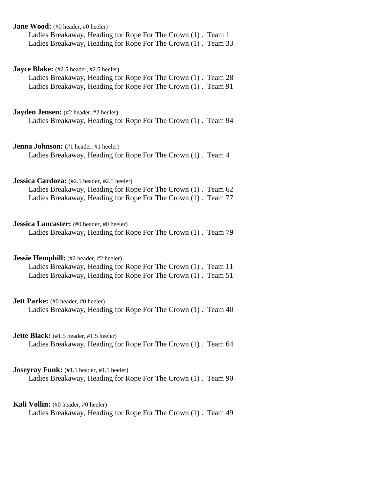| <b>Jane Wood:</b> (#0 header, #0 heeler)<br>Ladies Breakaway, Heading for Rope For The Crown (1). Team 1<br>Ladies Breakaway, Heading for Rope For The Crown (1). Team 33        |
|----------------------------------------------------------------------------------------------------------------------------------------------------------------------------------|
| Jayce Blake: (#2.5 header, #2.5 heeler)<br>Ladies Breakaway, Heading for Rope For The Crown (1). Team 28<br>Ladies Breakaway, Heading for Rope For The Crown (1). Team 91        |
| <b>Jayden Jensen:</b> (#2 header, #2 heeler)<br>Ladies Breakaway, Heading for Rope For The Crown (1). Team 94                                                                    |
| <b>Jenna Johnson:</b> (#1 header, #1 heeler)<br>Ladies Breakaway, Heading for Rope For The Crown (1). Team 4                                                                     |
| Jessica Cardoza: (#2.5 header, #2.5 heeler)<br>Ladies Breakaway, Heading for Rope For The Crown (1). Team 62<br>Ladies Breakaway, Heading for Rope For The Crown (1). Team 77    |
| <b>Jessica Lancaster:</b> (#0 header, #0 heeler)<br>Ladies Breakaway, Heading for Rope For The Crown (1). Team 79                                                                |
| <b>Jessie Hemphill:</b> (#2 header, #2 heeler)<br>Ladies Breakaway, Heading for Rope For The Crown (1). Team 11<br>Ladies Breakaway, Heading for Rope For The Crown (1). Team 51 |
| <b>Jett Parke:</b> (#0 header, #0 heeler)<br>Ladies Breakaway, Heading for Rope For The Crown (1). Team 40                                                                       |
| <b>Jette Black:</b> $(\#1.5 \text{ header}, \#1.5 \text{ header})$<br>Ladies Breakaway, Heading for Rope For The Crown (1). Team 64                                              |
| Joseyray Funk: (#1.5 header, #1.5 heeler)<br>Ladies Breakaway, Heading for Rope For The Crown (1). Team 90                                                                       |
| <b>Kali Vollin:</b> (#0 header, #0 heeler)<br>Ladies Breakaway, Heading for Rope For The Crown (1). Team 49                                                                      |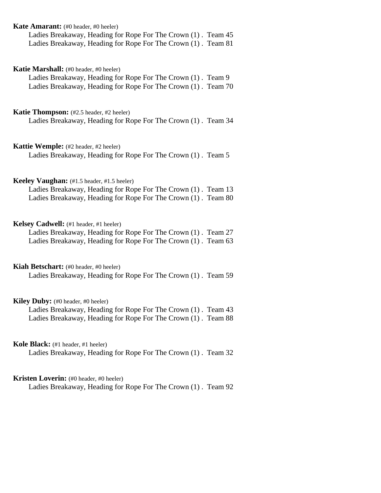| <b>Kate Amarant:</b> (#0 header, #0 heeler)<br>Ladies Breakaway, Heading for Rope For The Crown (1). Team 45<br>Ladies Breakaway, Heading for Rope For The Crown (1). Team 81  |
|--------------------------------------------------------------------------------------------------------------------------------------------------------------------------------|
| <b>Katie Marshall:</b> (#0 header, #0 heeler)<br>Ladies Breakaway, Heading for Rope For The Crown (1). Team 9<br>Ladies Breakaway, Heading for Rope For The Crown (1). Team 70 |
| <b>Katie Thompson:</b> (#2.5 header, #2 heeler)<br>Ladies Breakaway, Heading for Rope For The Crown (1). Team 34                                                               |
| <b>Kattie Wemple:</b> (#2 header, #2 heeler)<br>Ladies Breakaway, Heading for Rope For The Crown (1). Team 5                                                                   |
| Keeley Vaughan: (#1.5 header, #1.5 heeler)<br>Ladies Breakaway, Heading for Rope For The Crown (1). Team 13<br>Ladies Breakaway, Heading for Rope For The Crown (1). Team 80   |
| Kelsey Cadwell: (#1 header, #1 heeler)<br>Ladies Breakaway, Heading for Rope For The Crown (1). Team 27<br>Ladies Breakaway, Heading for Rope For The Crown (1). Team 63       |
| Kiah Betschart: (#0 header, #0 heeler)<br>Ladies Breakaway, Heading for Rope For The Crown (1). Team 59                                                                        |
| Kiley Duby: (#0 header, #0 heeler)<br>Ladies Breakaway, Heading for Rope For The Crown (1). Team 43<br>Ladies Breakaway, Heading for Rope For The Crown (1). Team 88           |
| Kole Black: (#1 header, #1 heeler)<br>Ladies Breakaway, Heading for Rope For The Crown (1). Team 32                                                                            |
| Kristen Loverin: (#0 header, #0 heeler)<br>Ladies Breakaway, Heading for Rope For The Crown (1). Team 92                                                                       |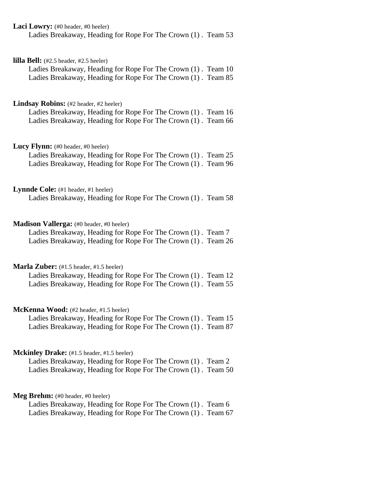| <b>Laci Lowry:</b> $(\text{\#}0 \text{ header}, \text{\#}0 \text{ header})$<br>Ladies Breakaway, Heading for Rope For The Crown (1). Team 53                                                        |
|-----------------------------------------------------------------------------------------------------------------------------------------------------------------------------------------------------|
| <b>lilla Bell:</b> $(\#2.5 \text{ header}, \#2.5 \text{ header})$<br>Ladies Breakaway, Heading for Rope For The Crown (1). Team 10<br>Ladies Breakaway, Heading for Rope For The Crown (1). Team 85 |
| Lindsay Robins: (#2 header, #2 heeler)<br>Ladies Breakaway, Heading for Rope For The Crown (1). Team 16<br>Ladies Breakaway, Heading for Rope For The Crown (1). Team 66                            |
| Lucy Flynn: (#0 header, #0 heeler)<br>Ladies Breakaway, Heading for Rope For The Crown (1). Team 25<br>Ladies Breakaway, Heading for Rope For The Crown (1). Team 96                                |
| Lynnde Cole: (#1 header, #1 heeler)<br>Ladies Breakaway, Heading for Rope For The Crown (1). Team 58                                                                                                |
| Madison Vallerga: (#0 header, #0 heeler)<br>Ladies Breakaway, Heading for Rope For The Crown (1). Team 7<br>Ladies Breakaway, Heading for Rope For The Crown (1). Team 26                           |
| Marla Zuber: (#1.5 header, #1.5 heeler)<br>Ladies Breakaway, Heading for Rope For The Crown (1). Team 12<br>Ladies Breakaway, Heading for Rope For The Crown (1). Team 55                           |
| <b>McKenna Wood:</b> (#2 header, #1.5 heeler)<br>Ladies Breakaway, Heading for Rope For The Crown (1). Team 15<br>Ladies Breakaway, Heading for Rope For The Crown (1). Team 87                     |
| Mckinley Drake: (#1.5 header, #1.5 heeler)<br>Ladies Breakaway, Heading for Rope For The Crown (1). Team 2<br>Ladies Breakaway, Heading for Rope For The Crown (1). Team 50                         |
| Meg Brehm: (#0 header, #0 heeler)<br>Ladies Breakaway, Heading for Rope For The Crown (1). Team 6<br>Ladies Breakaway, Heading for Rope For The Crown (1). Team 67                                  |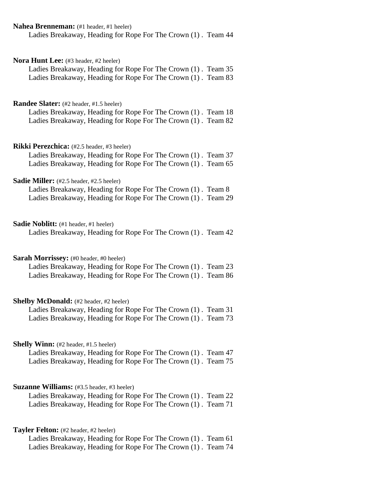| Nahea Brenneman: (#1 header, #1 heeler)                                                                  |
|----------------------------------------------------------------------------------------------------------|
| Ladies Breakaway, Heading for Rope For The Crown (1). Team 44                                            |
|                                                                                                          |
|                                                                                                          |
| Nora Hunt Lee: (#3 header, #2 heeler)                                                                    |
| Ladies Breakaway, Heading for Rope For The Crown (1). Team 35                                            |
| Ladies Breakaway, Heading for Rope For The Crown (1). Team 83                                            |
|                                                                                                          |
|                                                                                                          |
| <b>Randee Slater:</b> (#2 header, #1.5 heeler)                                                           |
| Ladies Breakaway, Heading for Rope For The Crown (1). Team 18                                            |
| Ladies Breakaway, Heading for Rope For The Crown (1). Team 82                                            |
|                                                                                                          |
|                                                                                                          |
| Rikki Perezchica: (#2.5 header, #3 heeler)                                                               |
| Ladies Breakaway, Heading for Rope For The Crown (1). Team 37                                            |
| Ladies Breakaway, Heading for Rope For The Crown (1). Team 65                                            |
|                                                                                                          |
| Sadie Miller: (#2.5 header, #2.5 heeler)<br>Ladies Breakaway, Heading for Rope For The Crown (1). Team 8 |
| Ladies Breakaway, Heading for Rope For The Crown (1). Team 29                                            |
|                                                                                                          |
|                                                                                                          |
| <b>Sadie Noblitt:</b> (#1 header, #1 heeler)                                                             |
| Ladies Breakaway, Heading for Rope For The Crown (1). Team 42                                            |
|                                                                                                          |
|                                                                                                          |
| Sarah Morrissey: (#0 header, #0 heeler)                                                                  |
| Ladies Breakaway, Heading for Rope For The Crown (1). Team 23                                            |
| Ladies Breakaway, Heading for Rope For The Crown (1). Team 86                                            |
|                                                                                                          |
|                                                                                                          |
| Shelby McDonald: (#2 header, #2 heeler)                                                                  |
| Ladies Breakaway, Heading for Rope For The Crown (1). Team 31                                            |
| Ladies Breakaway, Heading for Rope For The Crown (1). Team 73                                            |
|                                                                                                          |
|                                                                                                          |
| <b>Shelly Winn:</b> (#2 header, #1.5 heeler)                                                             |
| Ladies Breakaway, Heading for Rope For The Crown (1). Team 47                                            |
| Ladies Breakaway, Heading for Rope For The Crown (1). Team 75                                            |
|                                                                                                          |
|                                                                                                          |
| <b>Suzanne Williams:</b> (#3.5 header, #3 heeler)                                                        |
| Ladies Breakaway, Heading for Rope For The Crown (1). Team 22                                            |
| Ladies Breakaway, Heading for Rope For The Crown (1). Team 71                                            |
|                                                                                                          |
|                                                                                                          |
| Tayler Felton: (#2 header, #2 heeler)                                                                    |
| Ladies Breakaway, Heading for Rope For The Crown (1). Team 61                                            |
| Ladies Breakaway, Heading for Rope For The Crown (1). Team 74                                            |